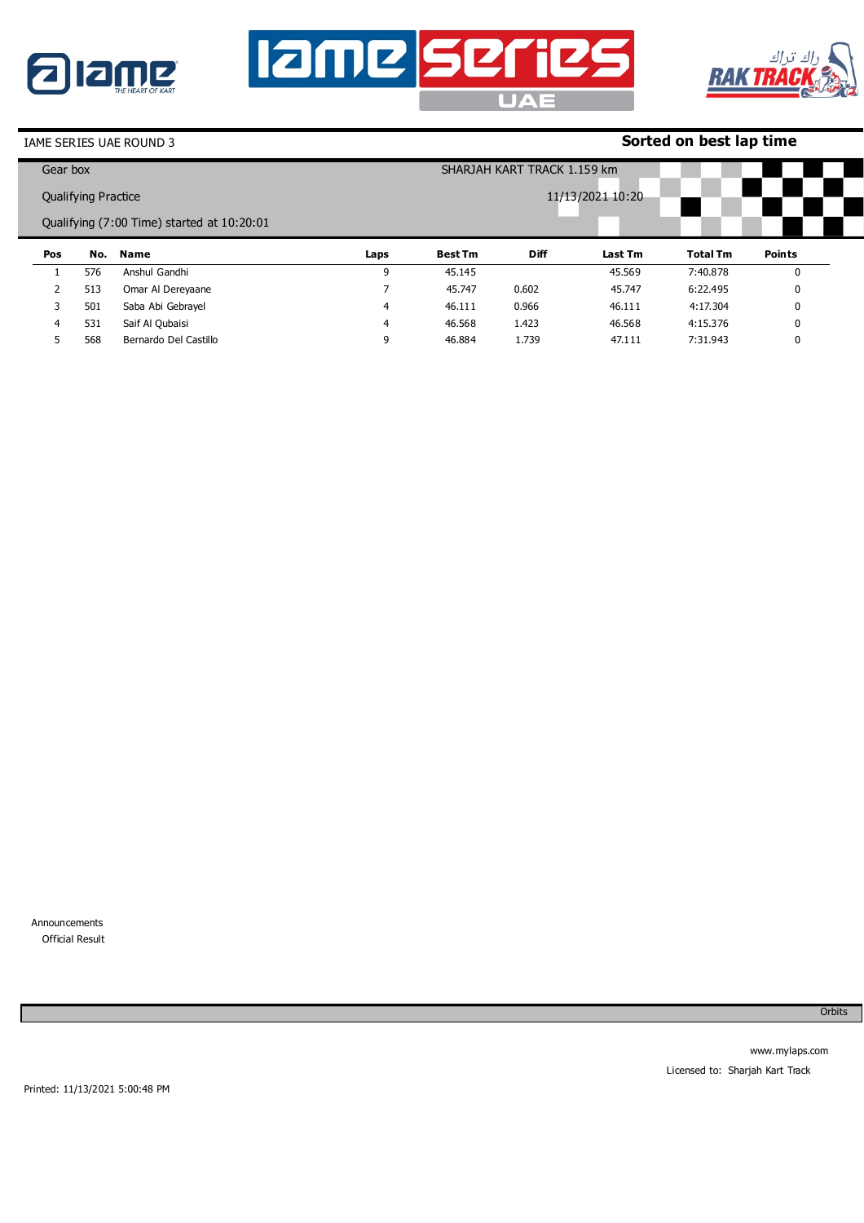





### **Sorted on best lap time**

| Gear box                   |     |                                            |      | SHARJAH KART TRACK 1.159 km |             |         |                 |               |  |
|----------------------------|-----|--------------------------------------------|------|-----------------------------|-------------|---------|-----------------|---------------|--|
| <b>Qualifying Practice</b> |     |                                            |      |                             |             |         |                 |               |  |
|                            |     | Qualifying (7:00 Time) started at 10:20:01 |      |                             |             |         |                 |               |  |
| Pos                        | No. | Name                                       | Laps | <b>Best Tm</b>              | <b>Diff</b> | Last Tm | <b>Total Tm</b> | <b>Points</b> |  |
|                            | 576 | Anshul Gandhi                              | 9    | 45.145                      |             | 45.569  | 7:40.878        | 0             |  |
| $\mathbf{2}$               | 513 | Omar Al Dereyaane                          |      | 45.747                      | 0.602       | 45.747  | 6:22.495        | 0             |  |
| 3                          | 501 | Saba Abi Gebrayel                          | 4    | 46.111                      | 0.966       | 46.111  | 4:17.304        | 0             |  |
| $\overline{4}$             | 531 | Saif Al Qubaisi                            | 4    | 46.568                      | 1.423       | 46.568  | 4:15.376        | 0             |  |
| 5                          | 568 | Bernardo Del Castillo                      | 9    | 46.884                      | 1.739       | 47.111  | 7:31.943        | 0             |  |

Announcements 0 Official Result

**Orbits**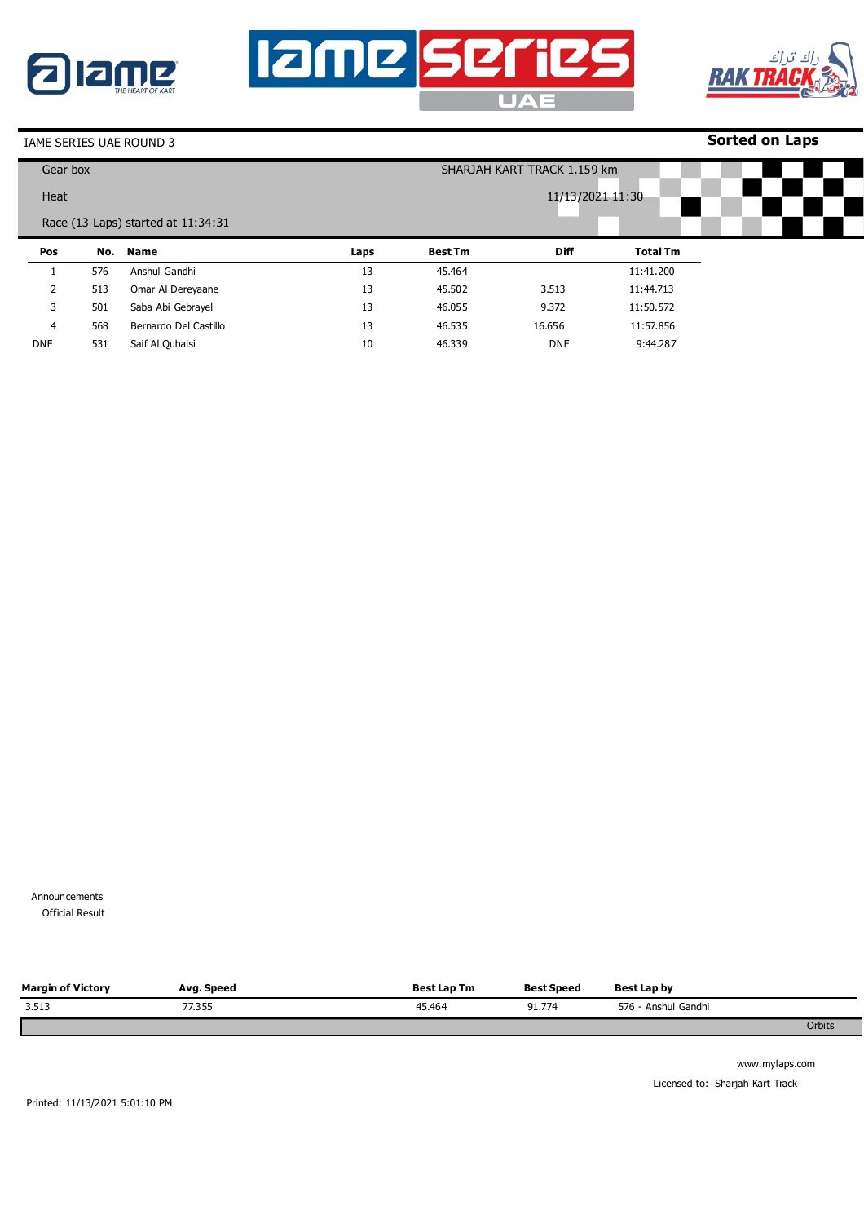





531

Saif Al Qubaisi

DNF

# **Sorted on Laps**

| Gear box |     |                                    |      | SHARJAH KART TRACK 1.159 km |                  |                 |  |
|----------|-----|------------------------------------|------|-----------------------------|------------------|-----------------|--|
| Heat     |     |                                    |      |                             | 11/13/2021 11:30 |                 |  |
|          |     | Race (13 Laps) started at 11:34:31 |      |                             |                  |                 |  |
| Pos      |     | No. Name                           | Laps | <b>Best Tm</b>              | <b>Diff</b>      | <b>Total Tm</b> |  |
|          | 576 | Anshul Gandhi                      | 13   | 45.464                      |                  | 11:41.200       |  |
| 2        | 513 | Omar Al Dereyaane                  | 13   | 45.502                      | 3.513            | 11:44.713       |  |
| 3        | 501 | Saba Abi Gebrayel                  | 13   | 46.055                      | 9.372            | 11:50.572       |  |
| 4        | 568 | Bernardo Del Castillo              | 13   | 46.535                      | 16.656           | 11:57.856       |  |

46.339

DNF

9:44.287

10

Announcements **Official Result** 

| <b>Margin of Victory</b> | Avg. Speed | <b>Best Lap Tm</b> | <b>Best Speed</b> | Best Lap by         |        |
|--------------------------|------------|--------------------|-------------------|---------------------|--------|
| 3.513                    | 77.355     | 45.464             | 91.774            | 576 - Anshul Gandhi |        |
|                          |            |                    |                   |                     | Orbits |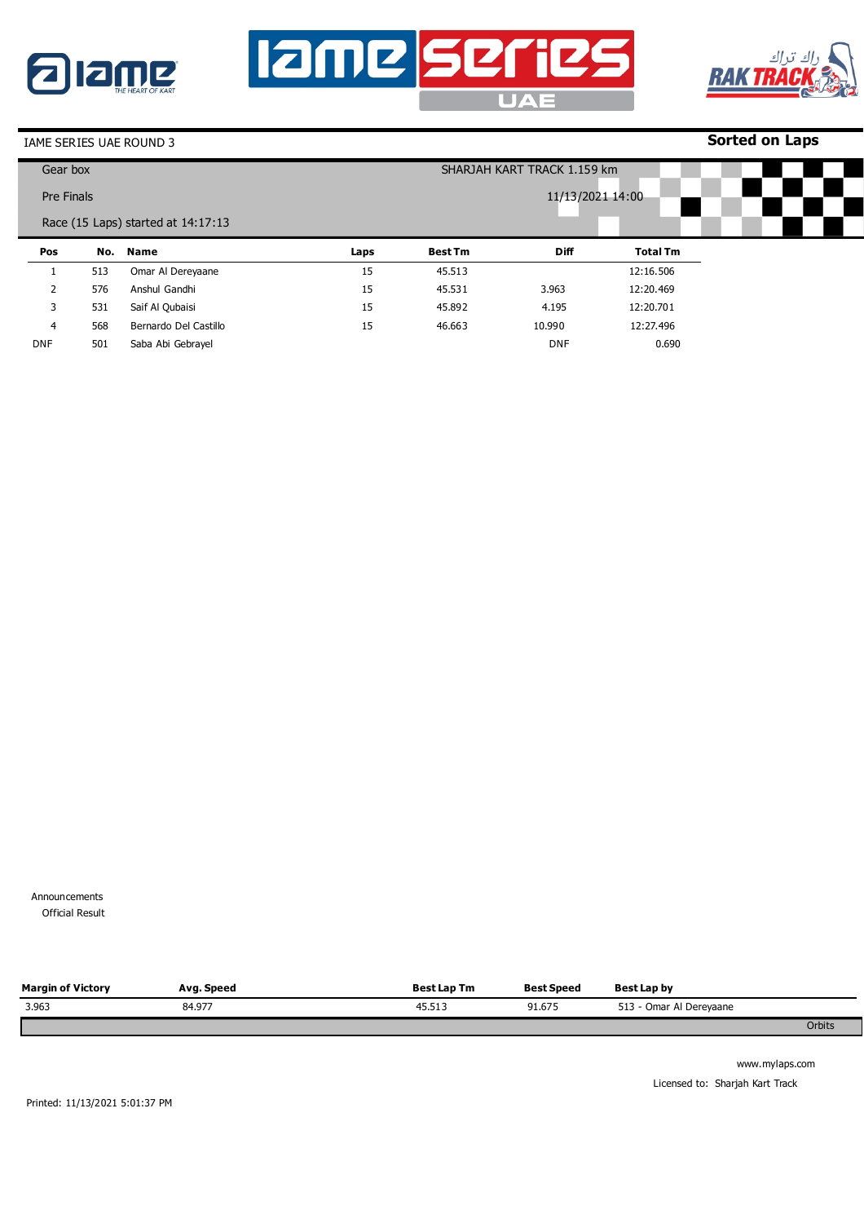





# **Sorted on Laps**

| Gear box          |     |                                    |      | SHARJAH KART TRACK 1.159 km |                  |                 |  |
|-------------------|-----|------------------------------------|------|-----------------------------|------------------|-----------------|--|
| <b>Pre Finals</b> |     |                                    |      |                             | 11/13/2021 14:00 |                 |  |
|                   |     | Race (15 Laps) started at 14:17:13 |      |                             |                  |                 |  |
|                   |     |                                    |      |                             |                  |                 |  |
| Pos               |     | No. Name                           | Laps | <b>Best Tm</b>              | <b>Diff</b>      | <b>Total Tm</b> |  |
|                   | 513 | Omar Al Dereyaane                  | 15   | 45.513                      |                  | 12:16.506       |  |
| 2                 | 576 | Anshul Gandhi                      | 15   | 45.531                      | 3.963            | 12:20.469       |  |
| 3                 | 531 | Saif Al Qubaisi                    | 15   | 45.892                      | 4.195            | 12:20.701       |  |
| 4                 | 568 | Bernardo Del Castillo              | 15   | 46.663                      | 10.990           | 12:27.496       |  |

DNF

0.690

DNF 501 Saba Abi Gebrayel

Announcements **Official Result** 

| <b>Margin of Victory</b> | Avg. Speed | <b>Best Lap Tm</b> | <b>Best Speed</b> | Best Lap by             |        |
|--------------------------|------------|--------------------|-------------------|-------------------------|--------|
| 3.963                    | 84.977     | 45.513             | 91.675            | 513 - Omar Al Dereyaane |        |
|                          |            |                    |                   |                         | Orbits |